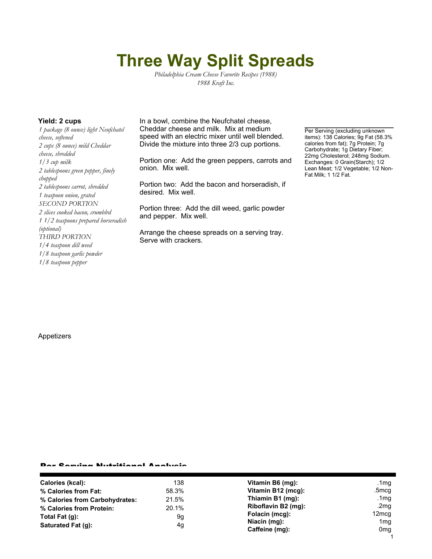# **Three Way Split Spreads**

*Philadelphia Cream Cheese Favorite Recipes (1988) 1988 Kraft Inc.*

*1 package (8 ounce) light Neufchatel cheese, softened 2 cups (8 ounce) mild Cheddar cheese, shredded 1/3 cup milk 2 tablespoons green pepper, finely chopped 2 tablespoons carrot, shredded 1 teaspoon onion, grated SECOND PORTION 2 slices cooked bacon, crumblrd 1 1/2 teaspoons prepared horseradish (optional) THIRD PORTION 1/4 teaspoon dill weed 1/8 teaspoon garlic powder 1/8 teaspoon pepper*

**Yield: 2 cups** In a bowl, combine the Neufchatel cheese, Cheddar cheese and milk. Mix at medium speed with an electric mixer until well blended. Divide the mixture into three 2/3 cup portions.

> Portion one: Add the green peppers, carrots and onion. Mix well.

Portion two: Add the bacon and horseradish, if desired. Mix well.

Portion three: Add the dill weed, garlic powder and pepper. Mix well.

Arrange the cheese spreads on a serving tray. Serve with crackers.

Per Serving (excluding unknown items): 138 Calories; 9g Fat (58.3% calories from fat); 7g Protein; 7g Carbohydrate; 1g Dietary Fiber; 22mg Cholesterol; 248mg Sodium. Exchanges: 0 Grain(Starch); 1/2 Lean Meat; 1/2 Vegetable; 1/2 Non-Fat Milk; 1 1/2 Fat.

#### Appetizers

### Per Serving Nutritional Analysis

| <b>Calories (kcal):</b>        | 138   | Vitamin B6 (mg):    | .1 $mg$         |
|--------------------------------|-------|---------------------|-----------------|
| % Calories from Fat:           | 58.3% | Vitamin B12 (mcg):  | .5mcg           |
| % Calories from Carbohydrates: | 21.5% | Thiamin B1 (mg):    | .1 $mg$         |
| % Calories from Protein:       | 20.1% | Riboflavin B2 (mg): | .2 $mg$         |
| Total Fat $(q)$ :              | 9g    | Folacin (mcg):      | 12mcg           |
| Saturated Fat (q):             | 4g    | Niacin (mg):        | 1 <sub>mg</sub> |
|                                |       | Caffeine (mg):      | 0 <sub>mg</sub> |
|                                |       |                     |                 |